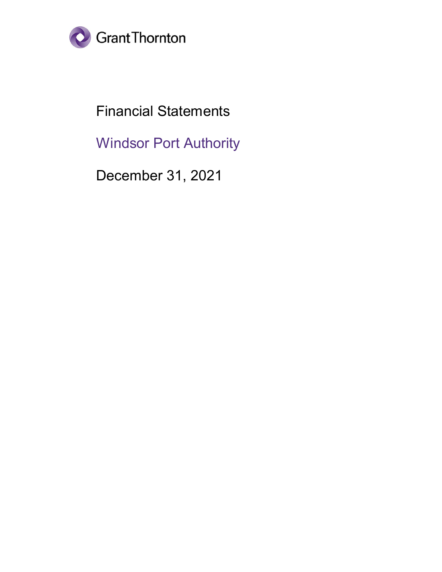

Financial Statements

Windsor Port Authority

December 31, 2021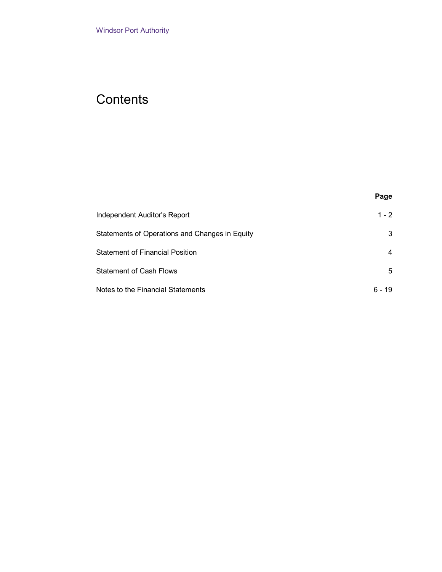# **Contents**

| . .<br>×<br>۰,<br>×<br>×<br>٠ |
|-------------------------------|
|-------------------------------|

| Independent Auditor's Report                   | $1 - 2$  |
|------------------------------------------------|----------|
| Statements of Operations and Changes in Equity | 3        |
| <b>Statement of Financial Position</b>         | 4        |
| <b>Statement of Cash Flows</b>                 | 5        |
| Notes to the Financial Statements              | $6 - 19$ |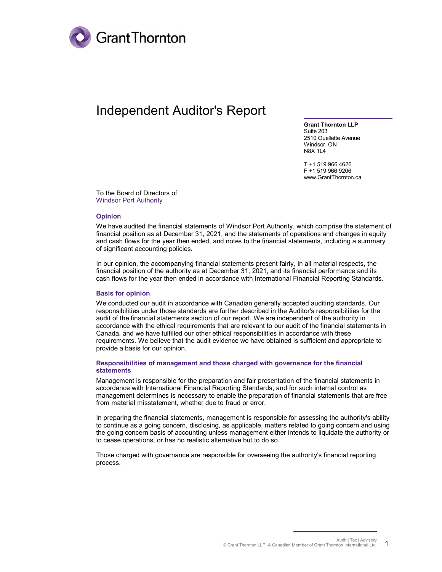

# Independent Auditor's Report

**Grant Thornton LLP** Suite 203 2510 Ouellette Avenue Windsor, ON N8X 1L4

T +1 519 966 4626 F +1 519 966 9206 www.GrantThornton.ca

To the Board of Directors of Windsor Port Authority

#### **Opinion**

We have audited the financial statements of Windsor Port Authority, which comprise the statement of financial position as at December 31, 2021, and the statements of operations and changes in equity and cash flows for the year then ended, and notes to the financial statements, including a summary of significant accounting policies.

In our opinion, the accompanying financial statements present fairly, in all material respects, the financial position of the authority as at December 31, 2021, and its financial performance and its cash flows for the year then ended in accordance with International Financial Reporting Standards.

#### **Basis for opinion**

We conducted our audit in accordance with Canadian generally accepted auditing standards. Our responsibilities under those standards are further described in the Auditor's responsibilities for the audit of the financial statements section of our report. We are independent of the authority in accordance with the ethical requirements that are relevant to our audit of the financial statements in Canada, and we have fulfilled our other ethical responsibilities in accordance with these requirements. We believe that the audit evidence we have obtained is sufficient and appropriate to provide a basis for our opinion.

#### **Responsibilities of management and those charged with governance for the financial statements**

Management is responsible for the preparation and fair presentation of the financial statements in accordance with International Financial Reporting Standards, and for such internal control as management determines is necessary to enable the preparation of financial statements that are free from material misstatement, whether due to fraud or error.

In preparing the financial statements, management is responsible for assessing the authority's ability to continue as a going concern, disclosing, as applicable, matters related to going concern and using the going concern basis of accounting unless management either intends to liquidate the authority or to cease operations, or has no realistic alternative but to do so.

Those charged with governance are responsible for overseeing the authority's financial reporting process.

> Audit | Tax | Advisory © Grant Thornton LLP. A Canadian Member of Grant Thornton International Ltd 1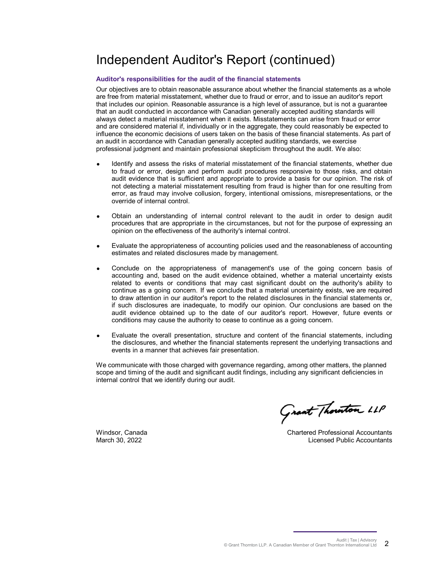# Independent Auditor's Report (continued)

#### **Auditor's responsibilities for the audit of the financial statements**

Our objectives are to obtain reasonable assurance about whether the financial statements as a whole are free from material misstatement, whether due to fraud or error, and to issue an auditor's report that includes our opinion. Reasonable assurance is a high level of assurance, but is not a guarantee that an audit conducted in accordance with Canadian generally accepted auditing standards will always detect a material misstatement when it exists. Misstatements can arise from fraud or error and are considered material if, individually or in the aggregate, they could reasonably be expected to influence the economic decisions of users taken on the basis of these financial statements. As part of an audit in accordance with Canadian generally accepted auditing standards, we exercise professional judgment and maintain professional skepticism throughout the audit. We also:

- Identify and assess the risks of material misstatement of the financial statements, whether due to fraud or error, design and perform audit procedures responsive to those risks, and obtain audit evidence that is sufficient and appropriate to provide a basis for our opinion. The risk of not detecting a material misstatement resulting from fraud is higher than for one resulting from error, as fraud may involve collusion, forgery, intentional omissions, misrepresentations, or the override of internal control.
- Obtain an understanding of internal control relevant to the audit in order to design audit procedures that are appropriate in the circumstances, but not for the purpose of expressing an opinion on the effectiveness of the authority's internal control.
- Evaluate the appropriateness of accounting policies used and the reasonableness of accounting estimates and related disclosures made by management.
- Conclude on the appropriateness of management's use of the going concern basis of accounting and, based on the audit evidence obtained, whether a material uncertainty exists related to events or conditions that may cast significant doubt on the authority's ability to continue as a going concern. If we conclude that a material uncertainty exists, we are required to draw attention in our auditor's report to the related disclosures in the financial statements or, if such disclosures are inadequate, to modify our opinion. Our conclusions are based on the audit evidence obtained up to the date of our auditor's report. However, future events or conditions may cause the authority to cease to continue as a going concern.
- Evaluate the overall presentation, structure and content of the financial statements, including the disclosures, and whether the financial statements represent the underlying transactions and events in a manner that achieves fair presentation.

We communicate with those charged with governance regarding, among other matters, the planned scope and timing of the audit and significant audit findings, including any significant deficiencies in internal control that we identify during our audit.

Grant Thouton LLP

Windsor, Canada March 30, 2022

Chartered Professional Accountants Licensed Public Accountants

Audit | Tax | Advisory © Grant Thornton LLP. A Canadian Member of Grant Thornton International Ltd 2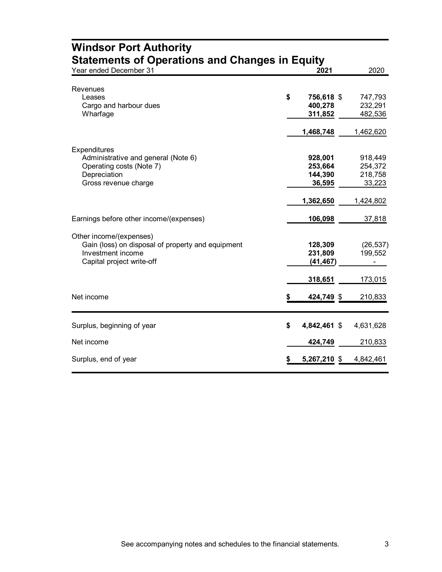| <b>Statements of Operations and Changes in Equity</b> |                    |           |
|-------------------------------------------------------|--------------------|-----------|
| Year ended December 31                                | 2021               | 2020      |
| Revenues                                              |                    |           |
| Leases                                                | \$<br>756,618 \$   | 747,793   |
| Cargo and harbour dues                                | 400,278            | 232,291   |
| Wharfage                                              | 311,852            | 482,536   |
|                                                       | 1,468,748          | 1,462,620 |
| <b>Expenditures</b>                                   |                    |           |
| Administrative and general (Note 6)                   | 928,001            | 918,449   |
| Operating costs (Note 7)                              | 253,664            | 254,372   |
| Depreciation                                          | 144,390            | 218,758   |
| Gross revenue charge                                  | 36,595             | 33,223    |
|                                                       | 1,362,650          | 1,424,802 |
| Earnings before other income/(expenses)               | 106,098            | 37,818    |
| Other income/(expenses)                               |                    |           |
| Gain (loss) on disposal of property and equipment     | 128,309            | (26, 537) |
| Investment income                                     | 231,809            | 199,552   |
| Capital project write-off                             | (41, 467)          |           |
|                                                       | 318,651            | 173,015   |
| Net income                                            | 424,749 \$         | 210,833   |
|                                                       |                    |           |
|                                                       |                    |           |
| Surplus, beginning of year                            | \$<br>4,842,461 \$ | 4,631,628 |
| Net income                                            | 424,749            | 210,833   |
| Surplus, end of year                                  | 5,267,210 \$       | 4,842,461 |
|                                                       |                    |           |

# **Windsor Port Authority**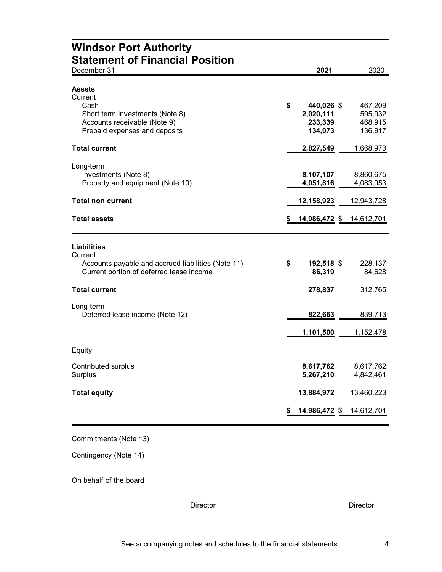# **Windsor Port Authority Statement of Financial Position**

| Statement of Financial Position<br>December 31     | 2021             | 2020       |
|----------------------------------------------------|------------------|------------|
| <b>Assets</b>                                      |                  |            |
| Current                                            |                  |            |
| Cash                                               | \$<br>440,026 \$ | 467,209    |
| Short term investments (Note 8)                    | 2,020,111        | 595,932    |
| Accounts receivable (Note 9)                       | 233,339          | 468,915    |
| Prepaid expenses and deposits                      | 134,073          | 136,917    |
| <b>Total current</b>                               | 2,827,549        | 1,668,973  |
| Long-term                                          |                  |            |
| Investments (Note 8)                               | 8,107,107        | 8,860,675  |
| Property and equipment (Note 10)                   | 4,051,816        | 4,083,053  |
| <b>Total non current</b>                           | 12,158,923       | 12,943,728 |
| <b>Total assets</b>                                | 14,986,472 \$    | 14,612,701 |
|                                                    |                  |            |
| <b>Liabilities</b>                                 |                  |            |
| Current                                            |                  |            |
| Accounts payable and accrued liabilities (Note 11) | \$<br>192,518 \$ | 228,137    |
| Current portion of deferred lease income           | 86,319           | 84,628     |
| <b>Total current</b>                               | 278,837          | 312,765    |
|                                                    |                  |            |
| Long-term                                          |                  |            |
| Deferred lease income (Note 12)                    | 822,663          | 839,713    |
|                                                    | 1,101,500        | 1,152,478  |
| Equity                                             |                  |            |
| Contributed surplus                                | 8,617,762        | 8,617,762  |
| Surplus                                            | 5,267,210        | 4,842,461  |
| <b>Total equity</b>                                | 13,884,972       | 13,460,223 |
|                                                    | 14,986,472 \$    | 14,612,701 |
|                                                    |                  |            |
|                                                    |                  |            |

Commitments (Note 13)

Contingency (Note 14)

On behalf of the board

Director **Director** Director **Director** Director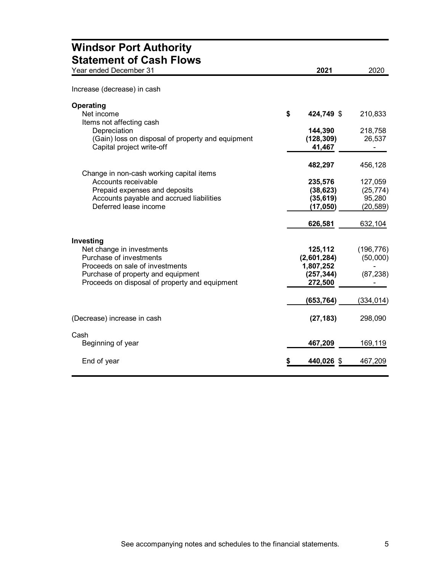| <b>Windsor Port Authority</b>                                                                                                                                                                |                                                              |                                             |
|----------------------------------------------------------------------------------------------------------------------------------------------------------------------------------------------|--------------------------------------------------------------|---------------------------------------------|
| <b>Statement of Cash Flows</b><br>Year ended December 31                                                                                                                                     | 2021                                                         | 2020                                        |
| Increase (decrease) in cash                                                                                                                                                                  |                                                              |                                             |
| Operating<br>Net income<br>Items not affecting cash                                                                                                                                          | \$<br>424,749 \$                                             | 210,833                                     |
| Depreciation<br>(Gain) loss on disposal of property and equipment<br>Capital project write-off                                                                                               | 144,390<br>(128, 309)<br>41,467                              | 218,758<br>26,537                           |
|                                                                                                                                                                                              | 482,297                                                      | 456,128                                     |
| Change in non-cash working capital items<br>Accounts receivable<br>Prepaid expenses and deposits<br>Accounts payable and accrued liabilities<br>Deferred lease income                        | 235,576<br>(38, 623)<br>(35, 619)<br>(17, 050)               | 127,059<br>(25, 774)<br>95,280<br>(20, 589) |
|                                                                                                                                                                                              | 626,581                                                      | 632,104                                     |
| Investing<br>Net change in investments<br>Purchase of investments<br>Proceeds on sale of investments<br>Purchase of property and equipment<br>Proceeds on disposal of property and equipment | 125,112<br>(2,601,284)<br>1,807,252<br>(257, 344)<br>272,500 | (196, 776)<br>(50,000)<br>(87, 238)         |
|                                                                                                                                                                                              | (653, 764)                                                   | (334, 014)                                  |
| (Decrease) increase in cash                                                                                                                                                                  | (27, 183)                                                    | 298,090                                     |
| Cash<br>Beginning of year                                                                                                                                                                    | 467,209                                                      | 169,119                                     |
| End of year                                                                                                                                                                                  | 440,026 \$                                                   | 467,209                                     |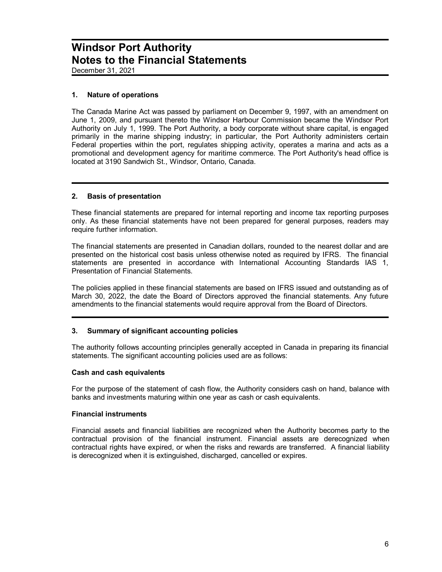December 31, 2021

### **1. Nature of operations**

The Canada Marine Act was passed by parliament on December 9, 1997, with an amendment on June 1, 2009, and pursuant thereto the Windsor Harbour Commission became the Windsor Port Authority on July 1, 1999. The Port Authority, a body corporate without share capital, is engaged primarily in the marine shipping industry; in particular, the Port Authority administers certain Federal properties within the port, regulates shipping activity, operates a marina and acts as a promotional and development agency for maritime commerce. The Port Authority's head office is located at 3190 Sandwich St., Windsor, Ontario, Canada.

# **2. Basis of presentation**

These financial statements are prepared for internal reporting and income tax reporting purposes only. As these financial statements have not been prepared for general purposes, readers may require further information.

The financial statements are presented in Canadian dollars, rounded to the nearest dollar and are presented on the historical cost basis unless otherwise noted as required by IFRS. The financial statements are presented in accordance with International Accounting Standards IAS 1, Presentation of Financial Statements.

The policies applied in these financial statements are based on IFRS issued and outstanding as of March 30, 2022, the date the Board of Directors approved the financial statements. Any future amendments to the financial statements would require approval from the Board of Directors.

### **3. Summary of significant accounting policies**

The authority follows accounting principles generally accepted in Canada in preparing its financial statements. The significant accounting policies used are as follows:

### **Cash and cash equivalents**

For the purpose of the statement of cash flow, the Authority considers cash on hand, balance with banks and investments maturing within one year as cash or cash equivalents.

### **Financial instruments**

Financial assets and financial liabilities are recognized when the Authority becomes party to the contractual provision of the financial instrument. Financial assets are derecognized when contractual rights have expired, or when the risks and rewards are transferred. A financial liability is derecognized when it is extinguished, discharged, cancelled or expires.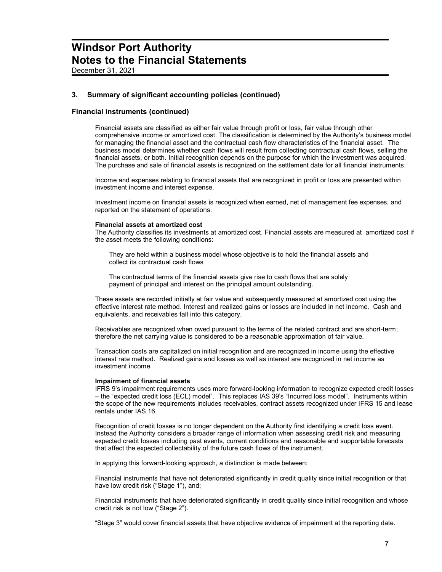December 31, 2021

#### **3. Summary of significant accounting policies (continued)**

#### **Financial instruments (continued)**

Financial assets are classified as either fair value through profit or loss, fair value through other comprehensive income or amortized cost. The classification is determined by the Authority's business model for managing the financial asset and the contractual cash flow characteristics of the financial asset. The business model determines whether cash flows will result from collecting contractual cash flows, selling the financial assets, or both. Initial recognition depends on the purpose for which the investment was acquired. The purchase and sale of financial assets is recognized on the settlement date for all financial instruments.

Income and expenses relating to financial assets that are recognized in profit or loss are presented within investment income and interest expense.

Investment income on financial assets is recognized when earned, net of management fee expenses, and reported on the statement of operations.

#### **Financial assets at amortized cost**

The Authority classifies its investments at amortized cost. Financial assets are measured at amortized cost if the asset meets the following conditions:

 They are held within a business model whose objective is to hold the financial assets and collect its contractual cash flows

 The contractual terms of the financial assets give rise to cash flows that are solely payment of principal and interest on the principal amount outstanding.

These assets are recorded initially at fair value and subsequently measured at amortized cost using the effective interest rate method. Interest and realized gains or losses are included in net income. Cash and equivalents, and receivables fall into this category.

Receivables are recognized when owed pursuant to the terms of the related contract and are short-term; therefore the net carrying value is considered to be a reasonable approximation of fair value.

Transaction costs are capitalized on initial recognition and are recognized in income using the effective interest rate method. Realized gains and losses as well as interest are recognized in net income as investment income.

#### **Impairment of financial assets**

IFRS 9's impairment requirements uses more forward-looking information to recognize expected credit losses – the "expected credit loss (ECL) model". This replaces IAS 39's "Incurred loss model". Instruments within the scope of the new requirements includes receivables, contract assets recognized under IFRS 15 and lease rentals under IAS 16.

Recognition of credit losses is no longer dependent on the Authority first identifying a credit loss event. Instead the Authority considers a broader range of information when assessing credit risk and measuring expected credit losses including past events, current conditions and reasonable and supportable forecasts that affect the expected collectability of the future cash flows of the instrument.

In applying this forward-looking approach, a distinction is made between:

Financial instruments that have not deteriorated significantly in credit quality since initial recognition or that have low credit risk ("Stage 1"), and;

Financial instruments that have deteriorated significantly in credit quality since initial recognition and whose credit risk is not low ("Stage 2").

"Stage 3" would cover financial assets that have objective evidence of impairment at the reporting date.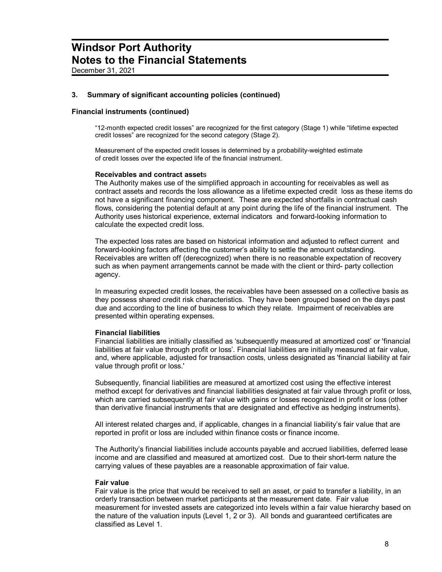### **3. Summary of significant accounting policies (continued)**

#### **Financial instruments (continued)**

"12-month expected credit losses" are recognized for the first category (Stage 1) while "lifetime expected credit losses" are recognized for the second category (Stage 2).

Measurement of the expected credit losses is determined by a probability-weighted estimate of credit losses over the expected life of the financial instrument.

### **Receivables and contract asset**s

The Authority makes use of the simplified approach in accounting for receivables as well as contract assets and records the loss allowance as a lifetime expected credit loss as these items do not have a significant financing component. These are expected shortfalls in contractual cash flows, considering the potential default at any point during the life of the financial instrument. The Authority uses historical experience, external indicators and forward-looking information to calculate the expected credit loss.

The expected loss rates are based on historical information and adjusted to reflect current and forward-looking factors affecting the customer's ability to settle the amount outstanding. Receivables are written off (derecognized) when there is no reasonable expectation of recovery such as when payment arrangements cannot be made with the client or third- party collection agency.

In measuring expected credit losses, the receivables have been assessed on a collective basis as they possess shared credit risk characteristics. They have been grouped based on the days past due and according to the line of business to which they relate. Impairment of receivables are presented within operating expenses.

#### **Financial liabilities**

Financial liabilities are initially classified as 'subsequently measured at amortized cost' or 'financial liabilities at fair value through profit or loss'. Financial liabilities are initially measured at fair value, and, where applicable, adjusted for transaction costs, unless designated as 'financial liability at fair value through profit or loss.'

Subsequently, financial liabilities are measured at amortized cost using the effective interest method except for derivatives and financial liabilities designated at fair value through profit or loss, which are carried subsequently at fair value with gains or losses recognized in profit or loss (other than derivative financial instruments that are designated and effective as hedging instruments).

All interest related charges and, if applicable, changes in a financial liability's fair value that are reported in profit or loss are included within finance costs or finance income.

The Authority's financial liabilities include accounts payable and accrued liabilities, deferred lease income and are classified and measured at amortized cost. Due to their short-term nature the carrying values of these payables are a reasonable approximation of fair value.

#### **Fair value**

Fair value is the price that would be received to sell an asset, or paid to transfer a liability, in an orderly transaction between market participants at the measurement date. Fair value measurement for invested assets are categorized into levels within a fair value hierarchy based on the nature of the valuation inputs (Level 1, 2 or 3). All bonds and guaranteed certificates are classified as Level 1.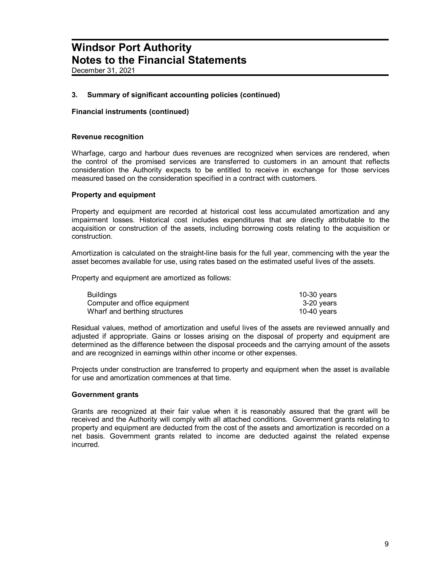December 31, 2021

### **3. Summary of significant accounting policies (continued)**

### **Financial instruments (continued)**

#### **Revenue recognition**

Wharfage, cargo and harbour dues revenues are recognized when services are rendered, when the control of the promised services are transferred to customers in an amount that reflects consideration the Authority expects to be entitled to receive in exchange for those services measured based on the consideration specified in a contract with customers.

### **Property and equipment**

Property and equipment are recorded at historical cost less accumulated amortization and any impairment losses. Historical cost includes expenditures that are directly attributable to the acquisition or construction of the assets, including borrowing costs relating to the acquisition or construction.

Amortization is calculated on the straight-line basis for the full year, commencing with the year the asset becomes available for use, using rates based on the estimated useful lives of the assets.

Property and equipment are amortized as follows:

| <b>Buildings</b>              | 10-30 years |
|-------------------------------|-------------|
| Computer and office equipment | 3-20 vears  |
| Wharf and berthing structures | 10-40 vears |

Residual values, method of amortization and useful lives of the assets are reviewed annually and adjusted if appropriate. Gains or losses arising on the disposal of property and equipment are determined as the difference between the disposal proceeds and the carrying amount of the assets and are recognized in earnings within other income or other expenses.

Projects under construction are transferred to property and equipment when the asset is available for use and amortization commences at that time.

#### **Government grants**

Grants are recognized at their fair value when it is reasonably assured that the grant will be received and the Authority will comply with all attached conditions. Government grants relating to property and equipment are deducted from the cost of the assets and amortization is recorded on a net basis. Government grants related to income are deducted against the related expense incurred.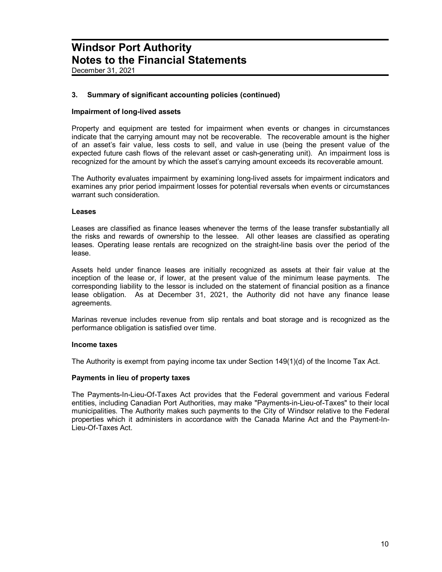December 31, 2021

### **3. Summary of significant accounting policies (continued)**

#### **Impairment of long-lived assets**

Property and equipment are tested for impairment when events or changes in circumstances indicate that the carrying amount may not be recoverable. The recoverable amount is the higher of an asset's fair value, less costs to sell, and value in use (being the present value of the expected future cash flows of the relevant asset or cash-generating unit). An impairment loss is recognized for the amount by which the asset's carrying amount exceeds its recoverable amount.

The Authority evaluates impairment by examining long-lived assets for impairment indicators and examines any prior period impairment losses for potential reversals when events or circumstances warrant such consideration.

#### **Leases**

Leases are classified as finance leases whenever the terms of the lease transfer substantially all the risks and rewards of ownership to the lessee. All other leases are classified as operating leases. Operating lease rentals are recognized on the straight-line basis over the period of the lease.

Assets held under finance leases are initially recognized as assets at their fair value at the inception of the lease or, if lower, at the present value of the minimum lease payments. The corresponding liability to the lessor is included on the statement of financial position as a finance lease obligation. As at December 31, 2021, the Authority did not have any finance lease agreements.

Marinas revenue includes revenue from slip rentals and boat storage and is recognized as the performance obligation is satisfied over time.

### **Income taxes**

The Authority is exempt from paying income tax under Section 149(1)(d) of the Income Tax Act.

### **Payments in lieu of property taxes**

The Payments-In-Lieu-Of-Taxes Act provides that the Federal government and various Federal entities, including Canadian Port Authorities, may make "Payments-in-Lieu-of-Taxes" to their local municipalities. The Authority makes such payments to the City of Windsor relative to the Federal properties which it administers in accordance with the Canada Marine Act and the Payment-In-Lieu-Of-Taxes Act.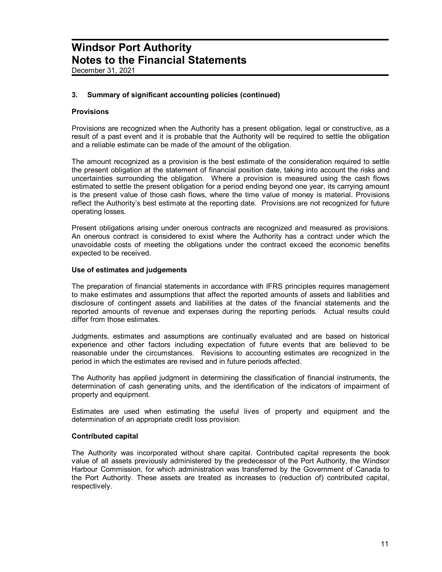December 31, 2021

### **3. Summary of significant accounting policies (continued)**

### **Provisions**

Provisions are recognized when the Authority has a present obligation, legal or constructive, as a result of a past event and it is probable that the Authority will be required to settle the obligation and a reliable estimate can be made of the amount of the obligation.

The amount recognized as a provision is the best estimate of the consideration required to settle the present obligation at the statement of financial position date, taking into account the risks and uncertainties surrounding the obligation. Where a provision is measured using the cash flows estimated to settle the present obligation for a period ending beyond one year, its carrying amount is the present value of those cash flows, where the time value of money is material. Provisions reflect the Authority's best estimate at the reporting date. Provisions are not recognized for future operating losses.

Present obligations arising under onerous contracts are recognized and measured as provisions. An onerous contract is considered to exist where the Authority has a contract under which the unavoidable costs of meeting the obligations under the contract exceed the economic benefits expected to be received.

#### **Use of estimates and judgements**

The preparation of financial statements in accordance with IFRS principles requires management to make estimates and assumptions that affect the reported amounts of assets and liabilities and disclosure of contingent assets and liabilities at the dates of the financial statements and the reported amounts of revenue and expenses during the reporting periods. Actual results could differ from those estimates.

Judgments, estimates and assumptions are continually evaluated and are based on historical experience and other factors including expectation of future events that are believed to be reasonable under the circumstances. Revisions to accounting estimates are recognized in the period in which the estimates are revised and in future periods affected.

The Authority has applied judgment in determining the classification of financial instruments, the determination of cash generating units, and the identification of the indicators of impairment of property and equipment.

Estimates are used when estimating the useful lives of property and equipment and the determination of an appropriate credit loss provision.

### **Contributed capital**

The Authority was incorporated without share capital. Contributed capital represents the book value of all assets previously administered by the predecessor of the Port Authority, the Windsor Harbour Commission, for which administration was transferred by the Government of Canada to the Port Authority. These assets are treated as increases to (reduction of) contributed capital, respectively.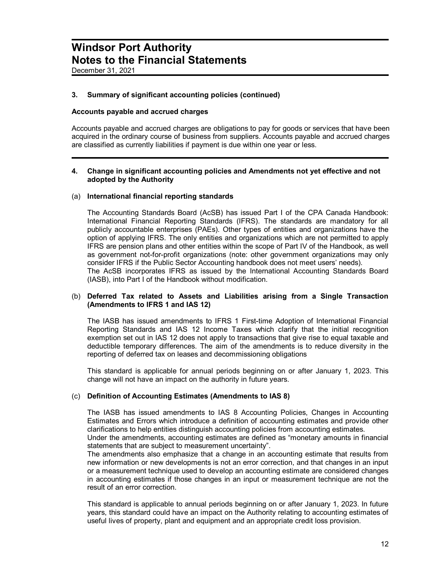December 31, 2021

#### **3. Summary of significant accounting policies (continued)**

#### **Accounts payable and accrued charges**

Accounts payable and accrued charges are obligations to pay for goods or services that have been acquired in the ordinary course of business from suppliers. Accounts payable and accrued charges are classified as currently liabilities if payment is due within one year or less.

#### **4. Change in significant accounting policies and Amendments not yet effective and not adopted by the Authority**

#### (a) **International financial reporting standards**

The Accounting Standards Board (AcSB) has issued Part I of the CPA Canada Handbook: International Financial Reporting Standards (IFRS). The standards are mandatory for all publicly accountable enterprises (PAEs). Other types of entities and organizations have the option of applying IFRS. The only entities and organizations which are not permitted to apply IFRS are pension plans and other entities within the scope of Part IV of the Handbook, as well as government not-for-profit organizations (note: other government organizations may only consider IFRS if the Public Sector Accounting handbook does not meet users' needs). The AcSB incorporates IFRS as issued by the International Accounting Standards Board (IASB), into Part I of the Handbook without modification.

### (b) **Deferred Tax related to Assets and Liabilities arising from a Single Transaction (Amendments to IFRS 1 and IAS 12)**

The IASB has issued amendments to IFRS 1 First-time Adoption of International Financial Reporting Standards and IAS 12 Income Taxes which clarify that the initial recognition exemption set out in IAS 12 does not apply to transactions that give rise to equal taxable and deductible temporary differences. The aim of the amendments is to reduce diversity in the reporting of deferred tax on leases and decommissioning obligations

This standard is applicable for annual periods beginning on or after January 1, 2023. This change will not have an impact on the authority in future years.

#### (c) **Definition of Accounting Estimates (Amendments to IAS 8)**

The IASB has issued amendments to IAS 8 Accounting Policies, Changes in Accounting Estimates and Errors which introduce a definition of accounting estimates and provide other clarifications to help entities distinguish accounting policies from accounting estimates. Under the amendments, accounting estimates are defined as "monetary amounts in financial

statements that are subject to measurement uncertainty".

The amendments also emphasize that a change in an accounting estimate that results from new information or new developments is not an error correction, and that changes in an input or a measurement technique used to develop an accounting estimate are considered changes in accounting estimates if those changes in an input or measurement technique are not the result of an error correction.

This standard is applicable to annual periods beginning on or after January 1, 2023. In future years, this standard could have an impact on the Authority relating to accounting estimates of useful lives of property, plant and equipment and an appropriate credit loss provision.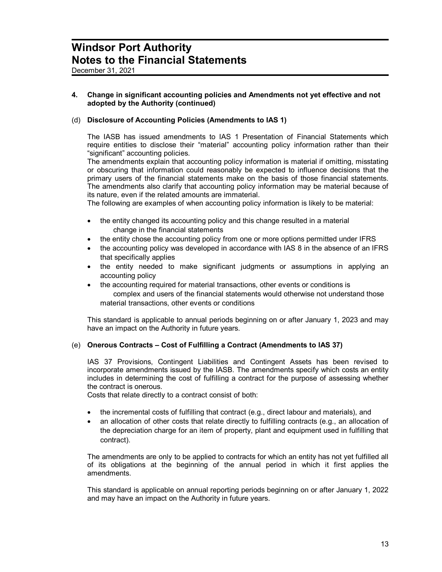December 31, 2021

### **4. Change in significant accounting policies and Amendments not yet effective and not adopted by the Authority (continued)**

### (d) **Disclosure of Accounting Policies (Amendments to IAS 1)**

The IASB has issued amendments to IAS 1 Presentation of Financial Statements which require entities to disclose their "material" accounting policy information rather than their "significant" accounting policies.

The amendments explain that accounting policy information is material if omitting, misstating or obscuring that information could reasonably be expected to influence decisions that the primary users of the financial statements make on the basis of those financial statements. The amendments also clarify that accounting policy information may be material because of its nature, even if the related amounts are immaterial.

The following are examples of when accounting policy information is likely to be material:

- the entity changed its accounting policy and this change resulted in a material change in the financial statements
- the entity chose the accounting policy from one or more options permitted under IFRS
- the accounting policy was developed in accordance with IAS 8 in the absence of an IFRS that specifically applies
- · the entity needed to make significant judgments or assumptions in applying an accounting policy
- the accounting required for material transactions, other events or conditions is complex and users of the financial statements would otherwise not understand those material transactions, other events or conditions

This standard is applicable to annual periods beginning on or after January 1, 2023 and may have an impact on the Authority in future years.

# (e) **Onerous Contracts – Cost of Fulfilling a Contract (Amendments to IAS 37)**

IAS 37 Provisions, Contingent Liabilities and Contingent Assets has been revised to incorporate amendments issued by the IASB. The amendments specify which costs an entity includes in determining the cost of fulfilling a contract for the purpose of assessing whether the contract is onerous.

Costs that relate directly to a contract consist of both:

- the incremental costs of fulfilling that contract (e.g., direct labour and materials), and
- an allocation of other costs that relate directly to fulfilling contracts (e.g., an allocation of the depreciation charge for an item of property, plant and equipment used in fulfilling that contract).

The amendments are only to be applied to contracts for which an entity has not yet fulfilled all of its obligations at the beginning of the annual period in which it first applies the amendments.

This standard is applicable on annual reporting periods beginning on or after January 1, 2022 and may have an impact on the Authority in future years.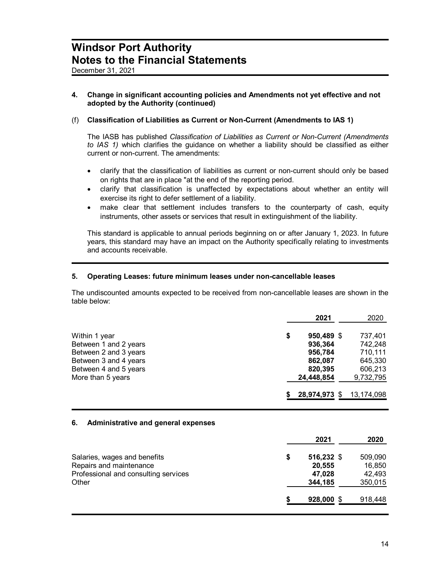# **4. Change in significant accounting policies and Amendments not yet effective and not adopted by the Authority (continued)**

# (f) **Classification of Liabilities as Current or Non-Current (Amendments to IAS 1)**

The IASB has published *Classification of Liabilities as Current or Non-Current (Amendments to IAS 1)* which clarifies the guidance on whether a liability should be classified as either current or non-current. The amendments:

- · clarify that the classification of liabilities as current or non-current should only be based on rights that are in place "at the end of the reporting period.
- · clarify that classification is unaffected by expectations about whether an entity will exercise its right to defer settlement of a liability.
- make clear that settlement includes transfers to the counterparty of cash, equity instruments, other assets or services that result in extinguishment of the liability.

This standard is applicable to annual periods beginning on or after January 1, 2023. In future years, this standard may have an impact on the Authority specifically relating to investments and accounts receivable.

### **5. Operating Leases: future minimum leases under non-cancellable leases**

The undiscounted amounts expected to be received from non-cancellable leases are shown in the table below:

|                                                | 2021               | 2020               |
|------------------------------------------------|--------------------|--------------------|
| Within 1 year                                  | \$<br>950,489 \$   | 737,401            |
| Between 1 and 2 years<br>Between 2 and 3 years | 936,364<br>956,784 | 742,248<br>710,111 |
| Between 3 and 4 years<br>Between 4 and 5 years | 862,087<br>820,395 | 645,330<br>606,213 |
| More than 5 years                              | 24,448,854         | 9,732,795          |
|                                                | 28,974,973 \$      | 13,174,098         |

### **6. Administrative and general expenses**

|                                      | 2021             | 2020    |
|--------------------------------------|------------------|---------|
| Salaries, wages and benefits         | \$<br>516,232 \$ | 509,090 |
| Repairs and maintenance              | 20,555           | 16,850  |
| Professional and consulting services | 47,028           | 42,493  |
| Other                                | 344,185          | 350,015 |
|                                      | 928,000 \$       | 918,448 |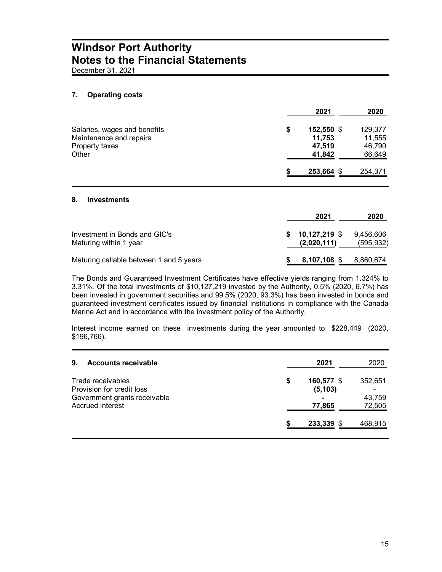December 31, 2021

### **7. Operating costs**

|                              |   | 2021       | 2020    |
|------------------------------|---|------------|---------|
| Salaries, wages and benefits | S | 152,550 \$ | 129,377 |
| Maintenance and repairs      |   | 11,753     | 11,555  |
| Property taxes               |   | 47.519     | 46.790  |
| Other                        |   | 41,842     | 66,649  |
|                              |   | 253,664 \$ | 254,371 |

### **8. Investments**

|                                                         | 2021                           | 2020                    |
|---------------------------------------------------------|--------------------------------|-------------------------|
| Investment in Bonds and GIC's<br>Maturing within 1 year | $10,127,219$ \$<br>(2,020,111) | 9,456,606<br>(595, 932) |
| Maturing callable between 1 and 5 years                 | 8,107,108 \$                   | 8,860,674               |

The Bonds and Guaranteed Investment Certificates have effective yields ranging from 1.324% to 3.31%. Of the total investments of \$10,127,219 invested by the Authority, 0.5% (2020, 6.7%) has been invested in government securities and 99.5% (2020, 93.3%) has been invested in bonds and guaranteed investment certificates issued by financial institutions in compliance with the Canada Marine Act and in accordance with the investment policy of the Authority.

Interest income earned on these investments during the year amounted to \$228,449 (2020, \$196,766).

| <b>Accounts receivable</b><br>9.                                                                   | 2021<br>2020                                                         |
|----------------------------------------------------------------------------------------------------|----------------------------------------------------------------------|
| Trade receivables<br>Provision for credit loss<br>Government grants receivable<br>Accrued interest | 160,577 \$<br>352,651<br>5<br>(5, 103)<br>43,759<br>72,505<br>77,865 |
|                                                                                                    | 233,339<br>468,915                                                   |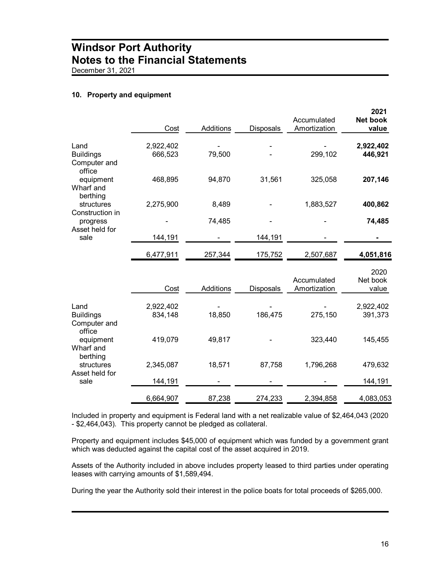December 31, 2021

### **10. Property and equipment**

|                                                    | Cost                 | Additions | <b>Disposals</b> | Accumulated<br>Amortization | 2021<br><b>Net book</b><br>value |
|----------------------------------------------------|----------------------|-----------|------------------|-----------------------------|----------------------------------|
| Land<br><b>Buildings</b><br>Computer and<br>office | 2,922,402<br>666,523 | 79,500    |                  | 299,102                     | 2,922,402<br>446,921             |
| equipment<br>Wharf and<br>berthing                 | 468,895              | 94,870    | 31,561           | 325,058                     | 207,146                          |
| structures                                         | 2,275,900            | 8,489     |                  | 1,883,527                   | 400,862                          |
| Construction in<br>progress<br>Asset held for      |                      | 74,485    |                  |                             | 74,485                           |
| sale                                               | 144,191              |           | 144,191          |                             |                                  |
|                                                    | 6,477,911            | 257,344   | 175,752          | 2,507,687                   | 4,051,816                        |
|                                                    | Cost                 | Additions | <b>Disposals</b> | Accumulated<br>Amortization | 2020<br>Net book<br>value        |
| Land<br><b>Buildings</b><br>Computer and<br>office | 2,922,402<br>834,148 | 18,850    | 186,475          | 275,150                     | 2,922,402<br>391,373             |
| equipment<br>Wharf and<br>berthing                 | 419,079              | 49,817    |                  | 323,440                     | 145,455                          |
| structures                                         | 2,345,087            | 18,571    | 87,758           | 1,796,268                   | 479,632                          |
| Asset held for<br>sale                             | 144,191              |           |                  |                             | 144,191                          |
|                                                    | 6,664,907            | 87,238    | 274,233          | 2,394,858                   | 4,083,053                        |

Included in property and equipment is Federal land with a net realizable value of \$2,464,043 (2020 - \$2,464,043). This property cannot be pledged as collateral.

Property and equipment includes \$45,000 of equipment which was funded by a government grant which was deducted against the capital cost of the asset acquired in 2019.

Assets of the Authority included in above includes property leased to third parties under operating leases with carrying amounts of \$1,589,494.

During the year the Authority sold their interest in the police boats for total proceeds of \$265,000.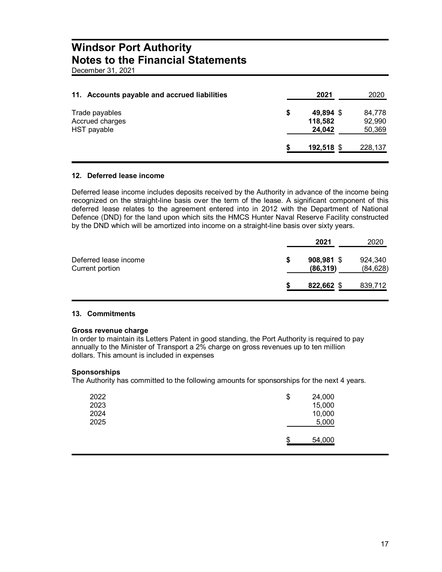December 31, 2021

| 11. Accounts payable and accrued liabilities     | 2021                                 | 2020                       |
|--------------------------------------------------|--------------------------------------|----------------------------|
| Trade payables<br>Accrued charges<br>HST payable | \$<br>49,894 \$<br>118,582<br>24.042 | 84,778<br>92,990<br>50,369 |
|                                                  | 192,518 \$                           | 228,137                    |

### **12. Deferred lease income**

Deferred lease income includes deposits received by the Authority in advance of the income being recognized on the straight-line basis over the term of the lease. A significant component of this deferred lease relates to the agreement entered into in 2012 with the Department of National Defence (DND) for the land upon which sits the HMCS Hunter Naval Reserve Facility constructed by the DND which will be amortized into income on a straight-line basis over sixty years.

|                                          |   | 2021                      |      | 2020                 |
|------------------------------------------|---|---------------------------|------|----------------------|
| Deferred lease income<br>Current portion | S | $908,981$ \$<br>(86, 319) |      | 924,340<br>(84, 628) |
|                                          |   | 822,662                   | - \$ | 839,712              |

### **13. Commitments**

### **Gross revenue charge**

In order to maintain its Letters Patent in good standing, the Port Authority is required to pay annually to the Minister of Transport a 2% charge on gross revenues up to ten million dollars. This amount is included in expenses

### **Sponsorships**

The Authority has committed to the following amounts for sponsorships for the next 4 years.

| 2022<br>2023<br>2024<br>2025 | \$<br>24,000<br>15,000<br>10,000<br>5,000 |  |
|------------------------------|-------------------------------------------|--|
|                              | \$<br>54,000                              |  |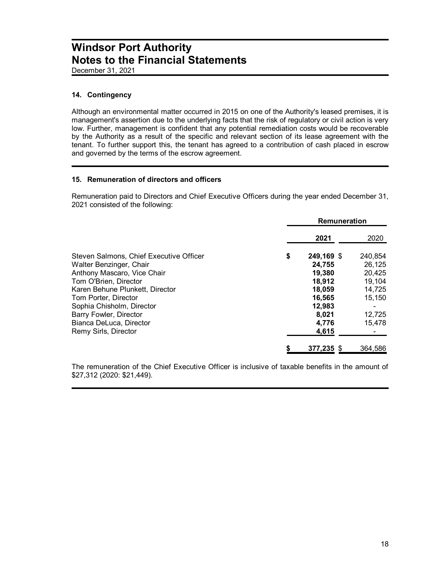December 31, 2021

# **14. Contingency**

Although an environmental matter occurred in 2015 on one of the Authority's leased premises, it is management's assertion due to the underlying facts that the risk of regulatory or civil action is very low. Further, management is confident that any potential remediation costs would be recoverable by the Authority as a result of the specific and relevant section of its lease agreement with the tenant. To further support this, the tenant has agreed to a contribution of cash placed in escrow and governed by the terms of the escrow agreement.

### **15. Remuneration of directors and officers**

Remuneration paid to Directors and Chief Executive Officers during the year ended December 31, 2021 consisted of the following:

|                                                                                                                                                                                                                                                                                                        | <b>Remuneration</b>                                                                                     |                                                                               |  |
|--------------------------------------------------------------------------------------------------------------------------------------------------------------------------------------------------------------------------------------------------------------------------------------------------------|---------------------------------------------------------------------------------------------------------|-------------------------------------------------------------------------------|--|
|                                                                                                                                                                                                                                                                                                        | 2021                                                                                                    | 2020                                                                          |  |
| Steven Salmons, Chief Executive Officer<br>Walter Benzinger, Chair<br>Anthony Mascaro, Vice Chair<br>Tom O'Brien, Director<br>Karen Behune Plunkett, Director<br>Tom Porter, Director<br>Sophia Chisholm, Director<br><b>Barry Fowler, Director</b><br>Bianca DeLuca, Director<br>Remy Sirls, Director | \$<br>249,169 \$<br>24,755<br>19,380<br>18,912<br>18,059<br>16,565<br>12.983<br>8,021<br>4,776<br>4,615 | 240,854<br>26,125<br>20,425<br>19,104<br>14,725<br>15,150<br>12,725<br>15,478 |  |
|                                                                                                                                                                                                                                                                                                        | 377,235 \$                                                                                              | 364,586                                                                       |  |

The remuneration of the Chief Executive Officer is inclusive of taxable benefits in the amount of \$27,312 (2020: \$21,449).